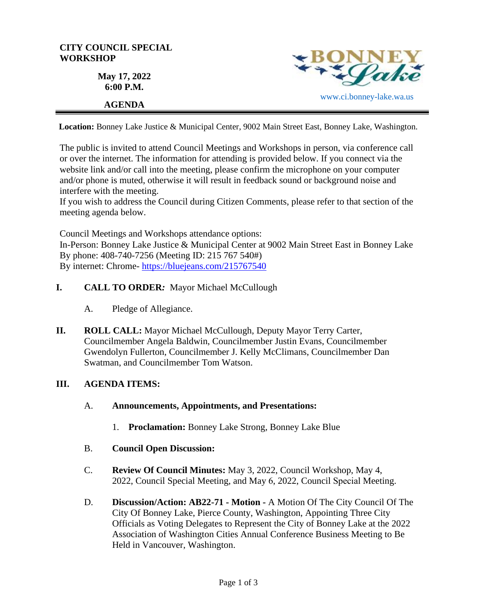

**Location:** Bonney Lake Justice & Municipal Center, 9002 Main Street East, Bonney Lake, Washington.

The public is invited to attend Council Meetings and Workshops in person, via conference call or over the internet. The information for attending is provided below. If you connect via the website link and/or call into the meeting, please confirm the microphone on your computer and/or phone is muted, otherwise it will result in feedback sound or background noise and interfere with the meeting.

If you wish to address the Council during Citizen Comments, please refer to that section of the meeting agenda below.

Council Meetings and Workshops attendance options: In-Person: Bonney Lake Justice & Municipal Center at 9002 Main Street East in Bonney Lake By phone: 408-740-7256 (Meeting ID: 215 767 540#) By internet: Chrome- [https://bluejeans.com/215767540](https://bluejeans.com/215767540?src=calendarLink&flow=joinmeeting)

- **I. CALL TO ORDER***:* Mayor Michael McCullough
	- A. Pledge of Allegiance.
- **II. ROLL CALL:** Mayor Michael McCullough, Deputy Mayor Terry Carter, Councilmember Angela Baldwin, Councilmember Justin Evans, Councilmember Gwendolyn Fullerton, Councilmember J. Kelly McClimans, Councilmember Dan Swatman, and Councilmember Tom Watson.

#### **III. AGENDA ITEMS:**

- A. **Announcements, Appointments, and Presentations:** 
	- 1. **Proclamation:** Bonney Lake Strong, Bonney Lake Blue
- B. **Council Open Discussion:**
- C. **Review Of Council Minutes:** May 3, 2022, Council Workshop, May 4, 2022, Council Special Meeting, and May 6, 2022, Council Special Meeting.
- D. **Discussion/Action: AB22-71 - Motion -** A Motion Of The City Council Of The City Of Bonney Lake, Pierce County, Washington, Appointing Three City Officials as Voting Delegates to Represent the City of Bonney Lake at the 2022 Association of Washington Cities Annual Conference Business Meeting to Be Held in Vancouver, Washington.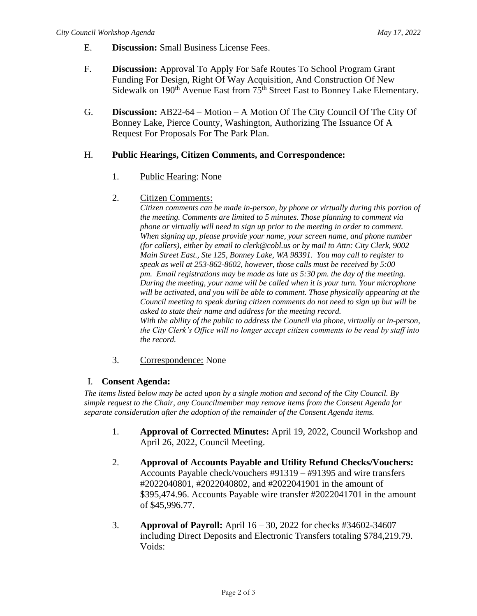- E. **Discussion:** Small Business License Fees.
- F. **Discussion:** Approval To Apply For Safe Routes To School Program Grant Funding For Design, Right Of Way Acquisition, And Construction Of New Sidewalk on 190<sup>th</sup> Avenue East from 75<sup>th</sup> Street East to Bonney Lake Elementary.
- G. **Discussion:** AB22-64 Motion A Motion Of The City Council Of The City Of Bonney Lake, Pierce County, Washington, Authorizing The Issuance Of A Request For Proposals For The Park Plan.

### H. **Public Hearings, Citizen Comments, and Correspondence:**

1. Public Hearing: None

### 2. Citizen Comments:

*Citizen comments can be made in-person, by phone or virtually during this portion of the meeting. Comments are limited to 5 minutes. Those planning to comment via phone or virtually will need to sign up prior to the meeting in order to comment. When signing up, please provide your name, your screen name, and phone number (for callers), either by email to clerk@cobl.us or by mail to Attn: City Clerk, 9002 Main Street East., Ste 125, Bonney Lake, WA 98391. You may call to register to speak as well at 253-862-8602, however, those calls must be received by 5:00 pm. Email registrations may be made as late as 5:30 pm. the day of the meeting. During the meeting, your name will be called when it is your turn. Your microphone will be activated, and you will be able to comment. Those physically appearing at the Council meeting to speak during citizen comments do not need to sign up but will be asked to state their name and address for the meeting record. With the ability of the public to address the Council via phone, virtually or in-person, the City Clerk's Office will no longer accept citizen comments to be read by staff into the record.*

#### 3. Correspondence: None

## I. **Consent Agenda:**

*The items listed below may be acted upon by a single motion and second of the City Council. By simple request to the Chair, any Councilmember may remove items from the Consent Agenda for separate consideration after the adoption of the remainder of the Consent Agenda items.*

- 1. **Approval of Corrected Minutes:** April 19, 2022, Council Workshop and April 26, 2022, Council Meeting.
- 2. **Approval of Accounts Payable and Utility Refund Checks/Vouchers:**  Accounts Payable check/vouchers #91319 – #91395 and wire transfers #2022040801, #2022040802, and #2022041901 in the amount of \$395,474.96. Accounts Payable wire transfer #2022041701 in the amount of \$45,996.77.
- 3. **Approval of Payroll:** April 16 30, 2022 for checks #34602-34607 including Direct Deposits and Electronic Transfers totaling \$784,219.79. Voids: